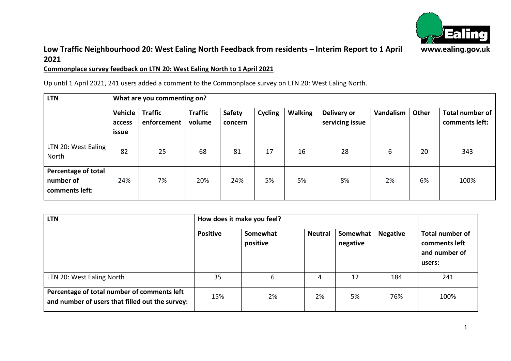

### **Low Traffic Neighbourhood 20: West Ealing North Feedback from residents – Interim Report to 1 April 2021**

#### **Commonplace survey feedback on LTN 20: West Ealing North to 1 April 2021**

Up until 1 April 2021, 241 users added a comment to the Commonplace survey on LTN 20: West Ealing North.

| <b>LTN</b>                                         | What are you commenting on? |                               |                          |                   |                |                |                                |           |       |                                   |
|----------------------------------------------------|-----------------------------|-------------------------------|--------------------------|-------------------|----------------|----------------|--------------------------------|-----------|-------|-----------------------------------|
|                                                    | Vehicle<br>access<br>issue  | <b>Traffic</b><br>enforcement | <b>Traffic</b><br>volume | Safety<br>concern | <b>Cycling</b> | <b>Walking</b> | Delivery or<br>servicing issue | Vandalism | Other | Total number of<br>comments left: |
| LTN 20: West Ealing<br>North                       | 82                          | 25                            | 68                       | 81                | 17             | 16             | 28                             | 6         | 20    | 343                               |
| Percentage of total<br>number of<br>comments left: | 24%                         | 7%                            | 20%                      | 24%               | 5%             | 5%             | 8%                             | 2%        | 6%    | 100%                              |

| <b>LTN</b>                                                                                     | How does it make you feel? |                      |                |                      |                 |                                                             |
|------------------------------------------------------------------------------------------------|----------------------------|----------------------|----------------|----------------------|-----------------|-------------------------------------------------------------|
|                                                                                                | <b>Positive</b>            | Somewhat<br>positive | <b>Neutral</b> | Somewhat<br>negative | <b>Negative</b> | Total number of<br>comments left<br>and number of<br>users: |
| LTN 20: West Ealing North                                                                      | 35                         | 6                    | 4              | 12                   | 184             | 241                                                         |
| Percentage of total number of comments left<br>and number of users that filled out the survey: | 15%                        | 2%                   | 2%             | 5%                   | 76%             | 100%                                                        |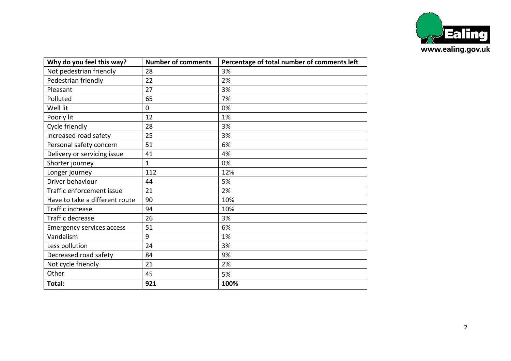

| Why do you feel this way?        | <b>Number of comments</b> | Percentage of total number of comments left |
|----------------------------------|---------------------------|---------------------------------------------|
| Not pedestrian friendly          | 28                        | 3%                                          |
| Pedestrian friendly              | 22                        | 2%                                          |
| Pleasant                         | 27                        | 3%                                          |
| Polluted                         | 65                        | 7%                                          |
| Well lit                         | $\mathbf 0$               | 0%                                          |
| Poorly lit                       | 12                        | 1%                                          |
| Cycle friendly                   | 28                        | 3%                                          |
| Increased road safety            | 25                        | 3%                                          |
| Personal safety concern          | 51                        | 6%                                          |
| Delivery or servicing issue      | 41                        | 4%                                          |
| Shorter journey                  | $\mathbf{1}$              | 0%                                          |
| Longer journey                   | 112                       | 12%                                         |
| Driver behaviour                 | 44                        | 5%                                          |
| Traffic enforcement issue        | 21                        | 2%                                          |
| Have to take a different route   | 90                        | 10%                                         |
| Traffic increase                 | 94                        | 10%                                         |
| Traffic decrease                 | 26                        | 3%                                          |
| <b>Emergency services access</b> | 51                        | 6%                                          |
| Vandalism                        | 9                         | 1%                                          |
| Less pollution                   | 24                        | 3%                                          |
| Decreased road safety            | 84                        | 9%                                          |
| Not cycle friendly               | 21                        | 2%                                          |
| Other                            | 45                        | 5%                                          |
| Total:                           | 921                       | 100%                                        |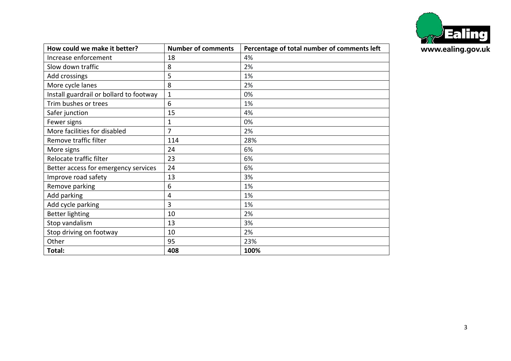

| How could we make it better?            | <b>Number of comments</b> | Percentage of total number of comments left |
|-----------------------------------------|---------------------------|---------------------------------------------|
| Increase enforcement                    | 18                        | 4%                                          |
| Slow down traffic                       | 8                         | 2%                                          |
| Add crossings                           | 5                         | 1%                                          |
| More cycle lanes                        | 8                         | 2%                                          |
| Install guardrail or bollard to footway | $\mathbf{1}$              | 0%                                          |
| Trim bushes or trees                    | 6                         | 1%                                          |
| Safer junction                          | 15                        | 4%                                          |
| Fewer signs                             | 1                         | 0%                                          |
| More facilities for disabled            | 7                         | 2%                                          |
| Remove traffic filter                   | 114                       | 28%                                         |
| More signs                              | 24                        | 6%                                          |
| Relocate traffic filter                 | 23                        | 6%                                          |
| Better access for emergency services    | 24                        | 6%                                          |
| Improve road safety                     | 13                        | 3%                                          |
| Remove parking                          | 6                         | 1%                                          |
| Add parking                             | 4                         | 1%                                          |
| Add cycle parking                       | 3                         | 1%                                          |
| <b>Better lighting</b>                  | 10                        | 2%                                          |
| Stop vandalism                          | 13                        | 3%                                          |
| Stop driving on footway                 | 10                        | 2%                                          |
| Other                                   | 95                        | 23%                                         |
| Total:                                  | 408                       | 100%                                        |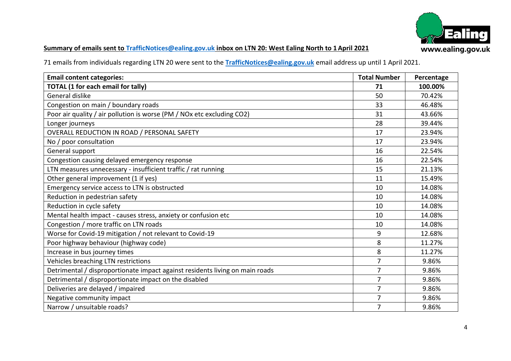

# **Summary of emails sent to [TrafficNotices@ealing.gov.uk](mailto:TrafficNotices@ealing.gov.uk) inbox on LTN 20: West Ealing North to 1 April 2021**

71 emails from individuals regarding LTN 20 were sent to the **[TrafficNotices@ealing.gov.uk](mailto:TrafficNotices@ealing.gov.uk)** email address up until 1 April 2021.

| <b>Email content categories:</b>                                             | <b>Total Number</b> | Percentage |
|------------------------------------------------------------------------------|---------------------|------------|
| <b>TOTAL (1 for each email for tally)</b>                                    | 71                  | 100.00%    |
| General dislike                                                              | 50                  | 70.42%     |
| Congestion on main / boundary roads                                          | 33                  | 46.48%     |
| Poor air quality / air pollution is worse (PM / NOx etc excluding CO2)       | 31                  | 43.66%     |
| Longer journeys                                                              | 28                  | 39.44%     |
| OVERALL REDUCTION IN ROAD / PERSONAL SAFETY                                  | 17                  | 23.94%     |
| No / poor consultation                                                       | 17                  | 23.94%     |
| General support                                                              | 16                  | 22.54%     |
| Congestion causing delayed emergency response                                | 16                  | 22.54%     |
| LTN measures unnecessary - insufficient traffic / rat running                | 15                  | 21.13%     |
| Other general improvement (1 if yes)                                         | 11                  | 15.49%     |
| Emergency service access to LTN is obstructed                                | 10                  | 14.08%     |
| Reduction in pedestrian safety                                               | 10                  | 14.08%     |
| Reduction in cycle safety                                                    | 10                  | 14.08%     |
| Mental health impact - causes stress, anxiety or confusion etc               | 10                  | 14.08%     |
| Congestion / more traffic on LTN roads                                       | 10                  | 14.08%     |
| Worse for Covid-19 mitigation / not relevant to Covid-19                     | 9                   | 12.68%     |
| Poor highway behaviour (highway code)                                        | 8                   | 11.27%     |
| Increase in bus journey times                                                | 8                   | 11.27%     |
| Vehicles breaching LTN restrictions                                          | 7                   | 9.86%      |
| Detrimental / disproportionate impact against residents living on main roads | 7                   | 9.86%      |
| Detrimental / disproportionate impact on the disabled                        | 7                   | 9.86%      |
| Deliveries are delayed / impaired                                            | $\overline{7}$      | 9.86%      |
| Negative community impact                                                    | 7                   | 9.86%      |
| Narrow / unsuitable roads?                                                   | 7                   | 9.86%      |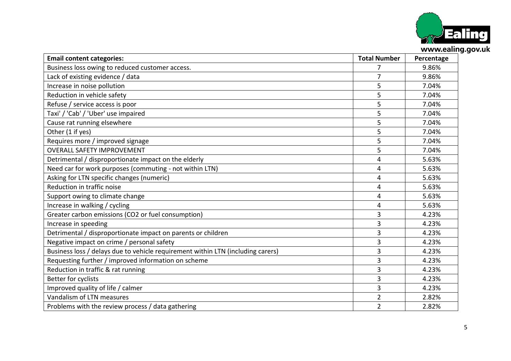

| <b>Email content categories:</b>                                                | <b>Total Number</b> | Percentage |
|---------------------------------------------------------------------------------|---------------------|------------|
| Business loss owing to reduced customer access.                                 | 7                   | 9.86%      |
| Lack of existing evidence / data                                                | 7                   | 9.86%      |
| Increase in noise pollution                                                     | 5                   | 7.04%      |
| Reduction in vehicle safety                                                     | 5                   | 7.04%      |
| Refuse / service access is poor                                                 | 5                   | 7.04%      |
| Taxi' / 'Cab' / 'Uber' use impaired                                             | 5                   | 7.04%      |
| Cause rat running elsewhere                                                     | 5                   | 7.04%      |
| Other (1 if yes)                                                                | 5                   | 7.04%      |
| Requires more / improved signage                                                | 5                   | 7.04%      |
| <b>OVERALL SAFETY IMPROVEMENT</b>                                               | 5                   | 7.04%      |
| Detrimental / disproportionate impact on the elderly                            | 4                   | 5.63%      |
| Need car for work purposes (commuting - not within LTN)                         | 4                   | 5.63%      |
| Asking for LTN specific changes (numeric)                                       | 4                   | 5.63%      |
| Reduction in traffic noise                                                      | 4                   | 5.63%      |
| Support owing to climate change                                                 | 4                   | 5.63%      |
| Increase in walking / cycling                                                   | 4                   | 5.63%      |
| Greater carbon emissions (CO2 or fuel consumption)                              | 3                   | 4.23%      |
| Increase in speeding                                                            | 3                   | 4.23%      |
| Detrimental / disproportionate impact on parents or children                    | 3                   | 4.23%      |
| Negative impact on crime / personal safety                                      | 3                   | 4.23%      |
| Business loss / delays due to vehicle requirement within LTN (including carers) | 3                   | 4.23%      |
| Requesting further / improved information on scheme                             | 3                   | 4.23%      |
| Reduction in traffic & rat running                                              | 3                   | 4.23%      |
| Better for cyclists                                                             | 3                   | 4.23%      |
| Improved quality of life / calmer                                               | 3                   | 4.23%      |
| Vandalism of LTN measures                                                       | $\overline{2}$      | 2.82%      |
| Problems with the review process / data gathering                               | $\overline{2}$      | 2.82%      |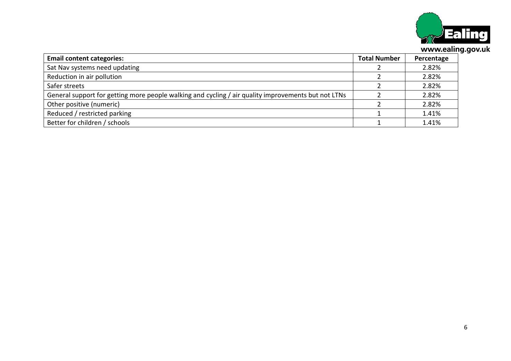

| <b>Email content categories:</b>                                                                    | <b>Total Number</b> | Percentage |
|-----------------------------------------------------------------------------------------------------|---------------------|------------|
| Sat Nav systems need updating                                                                       |                     | 2.82%      |
| Reduction in air pollution                                                                          |                     | 2.82%      |
| Safer streets                                                                                       |                     | 2.82%      |
| General support for getting more people walking and cycling / air quality improvements but not LTNs |                     | 2.82%      |
| Other positive (numeric)                                                                            |                     | 2.82%      |
| Reduced / restricted parking                                                                        |                     | 1.41%      |
| Better for children / schools                                                                       |                     | 1.41%      |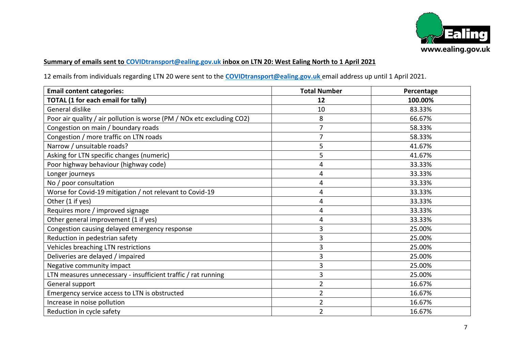

#### **Summary of emails sent to [COVIDtransport@ealing.gov.uk](mailto:COVIDtransport@ealing.gov.uk) inbox on LTN 20: West Ealing North to 1 April 2021**

12 emails from individuals regarding LTN 20 were sent to the **[COVIDtransport@ealing.gov.uk](mailto:COVIDtransport@ealing.gov.uk)** email address up until 1 April 2021.

| <b>Email content categories:</b>                                       | <b>Total Number</b> | Percentage |
|------------------------------------------------------------------------|---------------------|------------|
| <b>TOTAL (1 for each email for tally)</b>                              | 12                  | 100.00%    |
| General dislike                                                        | 10                  | 83.33%     |
| Poor air quality / air pollution is worse (PM / NOx etc excluding CO2) | 8                   | 66.67%     |
| Congestion on main / boundary roads                                    | 7                   | 58.33%     |
| Congestion / more traffic on LTN roads                                 | $\overline{7}$      | 58.33%     |
| Narrow / unsuitable roads?                                             | 5                   | 41.67%     |
| Asking for LTN specific changes (numeric)                              | 5                   | 41.67%     |
| Poor highway behaviour (highway code)                                  | 4                   | 33.33%     |
| Longer journeys                                                        | 4                   | 33.33%     |
| No / poor consultation                                                 | 4                   | 33.33%     |
| Worse for Covid-19 mitigation / not relevant to Covid-19               | 4                   | 33.33%     |
| Other (1 if yes)                                                       | 4                   | 33.33%     |
| Requires more / improved signage                                       | 4                   | 33.33%     |
| Other general improvement (1 if yes)                                   | 4                   | 33.33%     |
| Congestion causing delayed emergency response                          | 3                   | 25.00%     |
| Reduction in pedestrian safety                                         | 3                   | 25.00%     |
| Vehicles breaching LTN restrictions                                    | 3                   | 25.00%     |
| Deliveries are delayed / impaired                                      | 3                   | 25.00%     |
| Negative community impact                                              | 3                   | 25.00%     |
| LTN measures unnecessary - insufficient traffic / rat running          | 3                   | 25.00%     |
| General support                                                        | $\overline{2}$      | 16.67%     |
| Emergency service access to LTN is obstructed                          | $\overline{2}$      | 16.67%     |
| Increase in noise pollution                                            | $\overline{2}$      | 16.67%     |
| Reduction in cycle safety                                              | $\overline{2}$      | 16.67%     |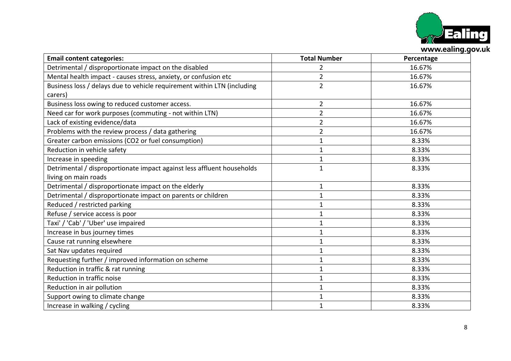

| <b>Email content categories:</b>                                        | <b>Total Number</b> | Percentage |
|-------------------------------------------------------------------------|---------------------|------------|
| Detrimental / disproportionate impact on the disabled                   | $\overline{2}$      | 16.67%     |
| Mental health impact - causes stress, anxiety, or confusion etc         | $\overline{2}$      | 16.67%     |
| Business loss / delays due to vehicle requirement within LTN (including | $\overline{2}$      | 16.67%     |
| carers)                                                                 |                     |            |
| Business loss owing to reduced customer access.                         | $\overline{2}$      | 16.67%     |
| Need car for work purposes (commuting - not within LTN)                 | $\overline{2}$      | 16.67%     |
| Lack of existing evidence/data                                          | $\overline{2}$      | 16.67%     |
| Problems with the review process / data gathering                       | $\overline{2}$      | 16.67%     |
| Greater carbon emissions (CO2 or fuel consumption)                      | $\mathbf 1$         | 8.33%      |
| Reduction in vehicle safety                                             | $\mathbf{1}$        | 8.33%      |
| Increase in speeding                                                    | $\mathbf 1$         | 8.33%      |
| Detrimental / disproportionate impact against less affluent households  | $\mathbf{1}$        | 8.33%      |
| living on main roads                                                    |                     |            |
| Detrimental / disproportionate impact on the elderly                    | $\mathbf{1}$        | 8.33%      |
| Detrimental / disproportionate impact on parents or children            | $\mathbf 1$         | 8.33%      |
| Reduced / restricted parking                                            | $\mathbf{1}$        | 8.33%      |
| Refuse / service access is poor                                         | $\mathbf{1}$        | 8.33%      |
| Taxi' / 'Cab' / 'Uber' use impaired                                     | 1                   | 8.33%      |
| Increase in bus journey times                                           | $\mathbf{1}$        | 8.33%      |
| Cause rat running elsewhere                                             | $\mathbf{1}$        | 8.33%      |
| Sat Nav updates required                                                | 1                   | 8.33%      |
| Requesting further / improved information on scheme                     | $\mathbf{1}$        | 8.33%      |
| Reduction in traffic & rat running                                      | $\mathbf{1}$        | 8.33%      |
| Reduction in traffic noise                                              | $\mathbf{1}$        | 8.33%      |
| Reduction in air pollution                                              | $\mathbf{1}$        | 8.33%      |
| Support owing to climate change                                         | $\mathbf{1}$        | 8.33%      |
| Increase in walking / cycling                                           | $\mathbf{1}$        | 8.33%      |